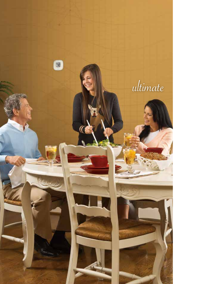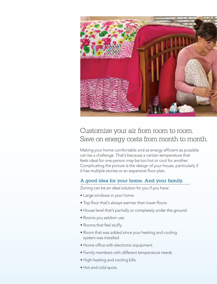

# Customize your air from room to room. Save on energy costs from month to month.

Making your home comfortable and as energy efficient as possible can be a challenge. That's because a certain temperature that feels ideal for one person may be too hot or cool for another. Complicating the picture is the design of your house, particularly if it has multiple stories or an expansive floor plan.

# A good idea for your home. And your family.

Zoning can be an ideal solution for you if you have:

- Large windows in your home
- Top floor that's always warmer than lower floors
- House level that's partially or completely under the ground
- Rooms you seldom use
- Rooms that feel stuffy
- Room that was added since your heating and cooling system was installed
- Home office with electronic equipment
- Family members with different temperature needs
- High heating and cooling bills
- Hot and cold spots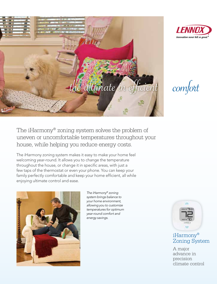

The iHarmony® zoning system solves the problem of uneven or uncomfortable temperatures throughout your house, while helping you reduce energy costs.

The iHarmony zoning system makes it easy to make your home feel welcoming year-round. It allows you to change the temperature throughout the house, or change it in specific areas, with just a few taps of the thermostat or even your phone. You can keep your family perfectly comfortable and keep your home efficient, all while enjoying ultimate control and ease.



*The iHarmony® zoning system brings balance to your home environment, allowing you to customize temperatures for optimum year-round comfort and energy savings.*





# iHarmony® Zoning System

A major advance in precision climate control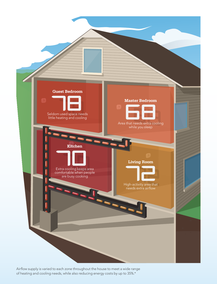

Airflow supply is varied to each zone throughout the house to meet a wide range of heating and cooling needs, while also reducing energy costs by up to 35%.\*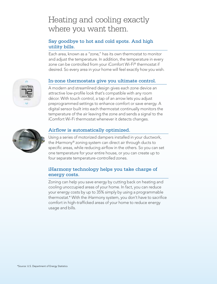# Heating and cooling exactly where you want them.

## Say goodbye to hot and cold spots. And high utility bills.

Each area, known as a "zone," has its own thermostat to monitor and adjust the temperature. In addition, the temperature in every zone can be controlled from your iComfort Wi-Fi® thermostat if desired. So every area in your home will feel exactly how you wish.

# In-zone thermostats give you ultimate control.

A modern and streamlined design gives each zone device an attractive low-profile look that's compatible with any room décor. With touch control, a tap of an arrow lets you adjust preprogrammed settings to enhance comfort or save energy. A digital sensor built into each thermostat continually monitors the temperature of the air leaving the zone and sends a signal to the iComfort Wi-Fi thermostat whenever it detects changes.



### Airflow is automatically optimized.

Using a series of motorized dampers installed in your ductwork, the iHarmony® zoning system can direct air through ducts to specific areas, while reducing airflow in the others. So you can set one temperature for your entire house, or you can create up to four separate temperature-controlled zones.

### iHarmony technology helps you take charge of energy costs.

Zoning can help you save energy by cutting back on heating and cooling unoccupied areas of your home. In fact, you can reduce your energy costs by up to 35% simply by using a programmable thermostat.\* With the iHarmony system, you don't have to sacrifice comfort in high-trafficked areas of your home to reduce energy usage and bills.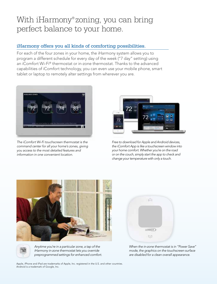# With iHarmony® zoning, you can bring perfect balance to your home.

## iHarmony offers you all kinds of comforting possibilities.

For each of the four zones in your home, the iHarmony system allows you to program a different schedule for every day of the week ("7 day" setting) using an iComfort Wi-Fi® thermostat or in-zone thermostat. Thanks to the advanced capabilities of iComfort technology, you can even use your mobile phone, smart tablet or laptop to remotely alter settings from wherever you are.



*The iComfort Wi-Fi touchscreen thermostat is the command center for all your home's zones, giving you access to the most detailed features and information in one convenient location.*



*Free to download for Apple and Android devices, the iComfort App is like a touchscreen window into your home comfort. Whether you're on the road or on the couch, simply start the app to check and change your temperature with only a touch.* 





*Anytime you're in a particular zone, a tap of the iHarmony in-zone thermostat lets you override preprogrammed settings for enhanced comfort.* 



*When the in-zone thermostat is in "Power Save" mode, the graphics on the touchscreen surface are disabled for a clean overall appearance.*

Apple, iPhone and iPad are trademarks of Apple, Inc. registered in the U.S. and other countries. Android is a trademark of Google, Inc.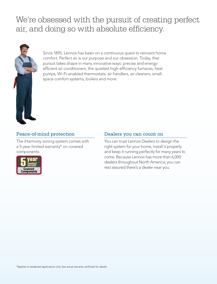# We're obsessed with the pursuit of creating perfect air, and doing so with absolute efficiency.



Since 1895, Lennox has been on a continuous quest to reinvent home comfort. Perfect air is our purpose and our obsession. Today, that pursuit takes shape in many innovative ways: precise and energyefficient air conditioners, the quietest high-efficiency furnaces, heat pumps, Wi-Fi-enabled thermostats, air handlers, air cleaners, smallspace comfort systems, boilers and more.

## Peace-of-mind protection

The iHarmony zoning system comes with a 5-year limited warranty\* on covered components.



#### Dealers you can count on

You can trust Lennox Dealers to design the right system for your home, install it properly and keep it running perfectly for many years to come. Because Lennox has more than 6,000 dealers throughout North America, you can rest assured there's a dealer near you.